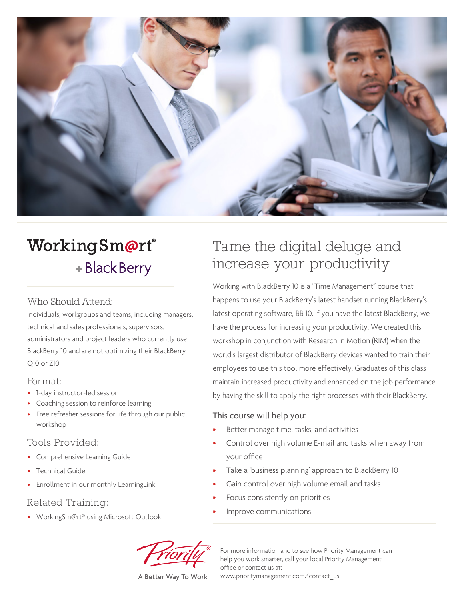

# WorkingSm@rt® + Black Berry

#### Who Should Attend:

Individuals, workgroups and teams, including managers, technical and sales professionals, supervisors, administrators and project leaders who currently use BlackBerry 10 and are not optimizing their BlackBerry Q10 or Z10.

#### Format:

- 1-day instructor-led session
- Coaching session to reinforce learning
- Free refresher sessions for life through our public workshop

#### Tools Provided:

- Comprehensive Learning Guide
- Technical Guide
- Enrollment in our monthly LearningLink

#### Related Training:

• WorkingSm@rt® using Microsoft Outlook

# Tame the digital deluge and increase your productivity

Working with BlackBerry 10 is a "Time Management" course that happens to use your BlackBerry's latest handset running BlackBerry's latest operating software, BB 10. If you have the latest BlackBerry, we have the process for increasing your productivity. We created this workshop in conjunction with Research In Motion (RIM) when the world's largest distributor of BlackBerry devices wanted to train their employees to use this tool more effectively. Graduates of this class maintain increased productivity and enhanced on the job performance by having the skill to apply the right processes with their BlackBerry.

#### This course will help you:

- Better manage time, tasks, and activities
- Control over high volume E-mail and tasks when away from your office
- Take a 'business planning' approach to BlackBerry 10
- Gain control over high volume email and tasks
- Focus consistently on priorities
- Improve communications



For more information and to see how Priority Management can help you work smarter, call your local Priority Management office or contact us at: www.prioritymanagement.com/contact\_us

A Better Way To Work